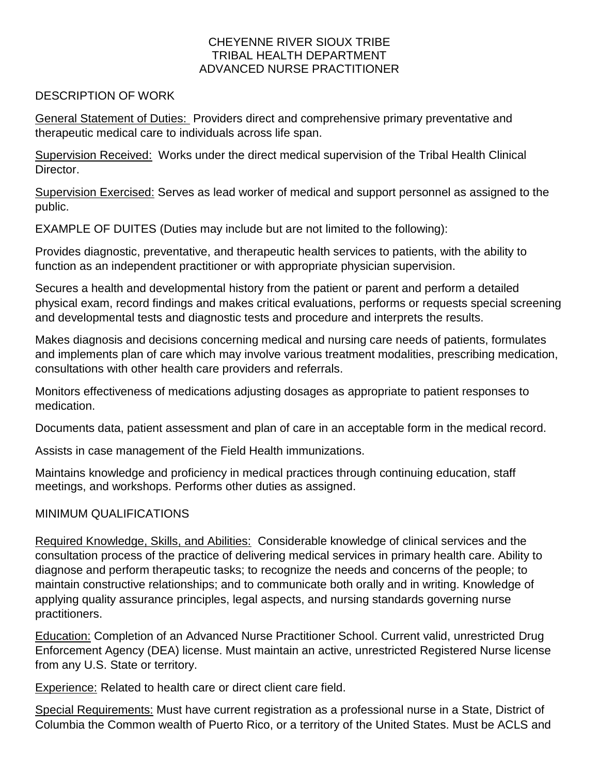## CHEYENNE RIVER SIOUX TRIBE TRIBAL HEALTH DEPARTMENT ADVANCED NURSE PRACTITIONER

## DESCRIPTION OF WORK

General Statement of Duties: Providers direct and comprehensive primary preventative and therapeutic medical care to individuals across life span.

Supervision Received: Works under the direct medical supervision of the Tribal Health Clinical Director.

Supervision Exercised: Serves as lead worker of medical and support personnel as assigned to the public.

EXAMPLE OF DUITES (Duties may include but are not limited to the following):

Provides diagnostic, preventative, and therapeutic health services to patients, with the ability to function as an independent practitioner or with appropriate physician supervision.

Secures a health and developmental history from the patient or parent and perform a detailed physical exam, record findings and makes critical evaluations, performs or requests special screening and developmental tests and diagnostic tests and procedure and interprets the results.

Makes diagnosis and decisions concerning medical and nursing care needs of patients, formulates and implements plan of care which may involve various treatment modalities, prescribing medication, consultations with other health care providers and referrals.

Monitors effectiveness of medications adjusting dosages as appropriate to patient responses to medication.

Documents data, patient assessment and plan of care in an acceptable form in the medical record.

Assists in case management of the Field Health immunizations.

Maintains knowledge and proficiency in medical practices through continuing education, staff meetings, and workshops. Performs other duties as assigned.

## MINIMUM QUALIFICATIONS

Required Knowledge, Skills, and Abilities: Considerable knowledge of clinical services and the consultation process of the practice of delivering medical services in primary health care. Ability to diagnose and perform therapeutic tasks; to recognize the needs and concerns of the people; to maintain constructive relationships; and to communicate both orally and in writing. Knowledge of applying quality assurance principles, legal aspects, and nursing standards governing nurse practitioners.

Education: Completion of an Advanced Nurse Practitioner School. Current valid, unrestricted Drug Enforcement Agency (DEA) license. Must maintain an active, unrestricted Registered Nurse license from any U.S. State or territory.

Experience: Related to health care or direct client care field.

Special Requirements: Must have current registration as a professional nurse in a State, District of Columbia the Common wealth of Puerto Rico, or a territory of the United States. Must be ACLS and